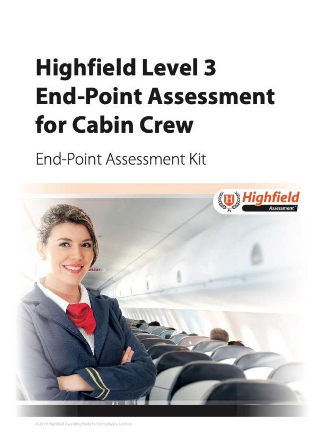# <span id="page-0-2"></span><span id="page-0-1"></span><span id="page-0-0"></span>**Highfield Level 3 End-Point Assessment** for Cabin Crew

## End-Point Assessment Kit

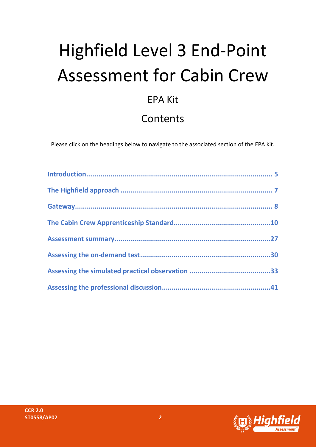# Highfield Level 3 End-Point Assessment for Cabin Crew

### EPA Kit

### Contents

Please click on the headings below to navigate to the associated section of the EPA kit.

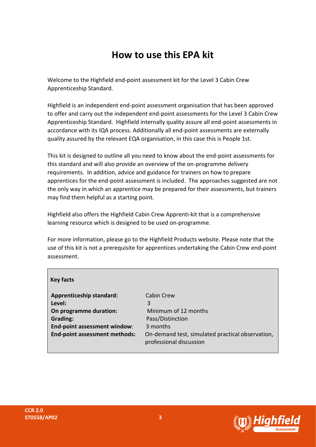### **How to use this EPA kit**

Welcome to the Highfield end-point assessment kit for the Level 3 Cabin Crew Apprenticeship Standard.

Highfield is an independent end-point assessment organisation that has been approved to offer and carry out the independent end-point assessments for the Level 3 Cabin Crew Apprenticeship Standard. Highfield internally quality assure all end-point assessments in accordance with its IQA process. Additionally all end-point assessments are externally quality assured by the relevant EQA organisation, in this case this is People 1st.

This kit is designed to outline all you need to know about the end-point assessments for this standard and will also provide an overview of the on-programme delivery requirements. In addition, advice and guidance for trainers on how to prepare apprentices for the end-point assessment is included. The approaches suggested are not the only way in which an apprentice may be prepared for their assessments, but trainers may find them helpful as a starting point.

Highfield also offers the Highfield Cabin Crew Apprenti-kit that is a comprehensive learning resource which is designed to be used on-programme.

For more information, please go to the Highfield Products website. Please note that the use of this kit is not a prerequisite for apprentices undertaking the Cabin Crew end-point assessment.

| <b>Key facts</b>                     |                                                                             |
|--------------------------------------|-----------------------------------------------------------------------------|
| <b>Apprenticeship standard:</b>      | Cabin Crew                                                                  |
| Level:                               | 3                                                                           |
| On programme duration:               | Minimum of 12 months                                                        |
| <b>Grading:</b>                      | Pass/Distinction                                                            |
| End-point assessment window:         | 3 months                                                                    |
| <b>End-point assessment methods:</b> | On-demand test, simulated practical observation,<br>professional discussion |

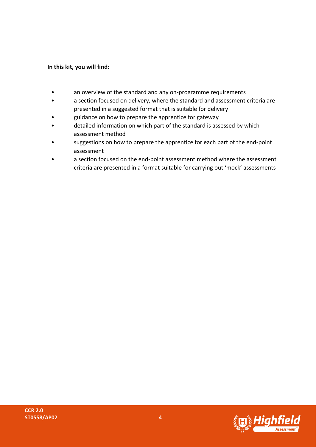### **In this kit, you will find:**

- an overview of the standard and any on-programme requirements
- a section focused on delivery, where the standard and assessment criteria are presented in a suggested format that is suitable for delivery
- guidance on how to prepare the apprentice for gateway
- detailed information on which part of the standard is assessed by which assessment method
- suggestions on how to prepare the apprentice for each part of the end-point assessment
- a section focused on the end-point assessment method where the assessment criteria are presented in a format suitable for carrying out 'mock' assessments

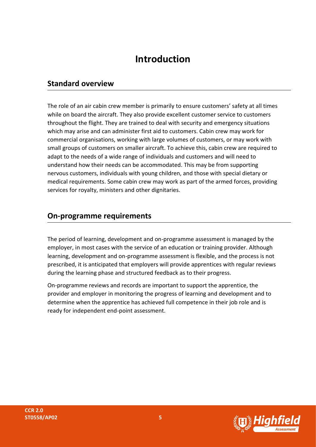### **Introduction**

### <span id="page-4-0"></span>**Standard overview**

The role of an air cabin crew member is primarily to ensure customers' safety at all times while on board the aircraft. They also provide excellent customer service to customers throughout the flight. They are trained to deal with security and emergency situations which may arise and can administer first aid to customers. Cabin crew may work for commercial organisations, working with large volumes of customers, or may work with small groups of customers on smaller aircraft. To achieve this, cabin crew are required to adapt to the needs of a wide range of individuals and customers and will need to understand how their needs can be accommodated. This may be from supporting nervous customers, individuals with young children, and those with special dietary or medical requirements. Some cabin crew may work as part of the armed forces, providing services for royalty, ministers and other dignitaries.

### **On-programme requirements**

The period of learning, development and on-programme assessment is managed by the employer, in most cases with the service of an education or training provider. Although learning, development and on-programme assessment is flexible, and the process is not prescribed, it is anticipated that employers will provide apprentices with regular reviews during the learning phase and structured feedback as to their progress.

On-programme reviews and records are important to support the apprentice, the provider and employer in monitoring the progress of learning and development and to determine when the apprentice has achieved full competence in their job role and is ready for independent end-point assessment.

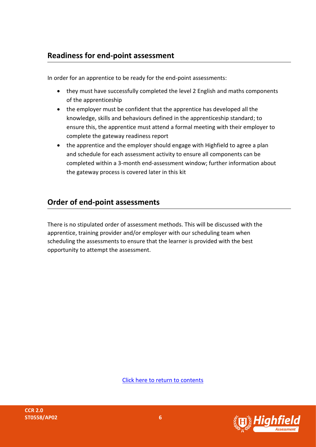### **Readiness for end-point assessment**

In order for an apprentice to be ready for the end-point assessments:

- they must have successfully completed the level 2 English and maths components of the apprenticeship
- the employer must be confident that the apprentice has developed all the knowledge, skills and behaviours defined in the apprenticeship standard; to ensure this, the apprentice must attend a formal meeting with their employer to complete the gateway readiness report
- the apprentice and the employer should engage with Highfield to agree a plan and schedule for each assessment activity to ensure all components can be completed within a 3-month end-assessment window; further information about the gateway process is covered later in this kit

### **Order of end-point assessments**

There is no stipulated order of assessment methods. This will be discussed with the apprentice, training provider and/or employer with our scheduling team when scheduling the assessments to ensure that the learner is provided with the best opportunity to attempt the assessment.

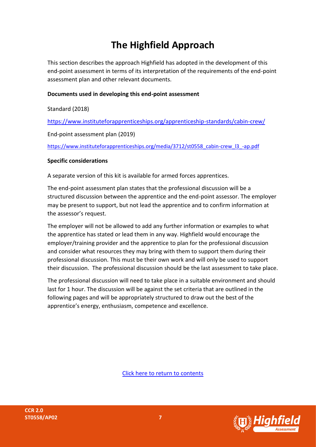### <span id="page-6-0"></span>**The Highfield Approach**

This section describes the approach Highfield has adopted in the development of this end-point assessment in terms of its interpretation of the requirements of the end-point assessment plan and other relevant documents.

### **Documents used in developing this end-point assessment**

Standard (2018)

<https://www.instituteforapprenticeships.org/apprenticeship-standards/cabin-crew/>

End-point assessment plan (2019)

[https://www.instituteforapprenticeships.org/media/3712/st0558\\_cabin-crew\\_l3\\_-ap.pdf](https://www.instituteforapprenticeships.org/media/3712/st0558_cabin-crew_l3_-ap.pdf)

#### **Specific considerations**

A separate version of this kit is available for armed forces apprentices.

The end-point assessment plan states that the professional discussion will be a structured discussion between the apprentice and the end-point assessor. The employer may be present to support, but not lead the apprentice and to confirm information at the assessor's request.

The employer will not be allowed to add any further information or examples to what the apprentice has stated or lead them in any way. Highfield would encourage the employer/training provider and the apprentice to plan for the professional discussion and consider what resources they may bring with them to support them during their professional discussion. This must be their own work and will only be used to support their discussion. The professional discussion should be the last assessment to take place.

The professional discussion will need to take place in a suitable environment and should last for 1 hour. The discussion will be against the set criteria that are outlined in the following pages and will be appropriately structured to draw out the best of the apprentice's energy, enthusiasm, competence and excellence.



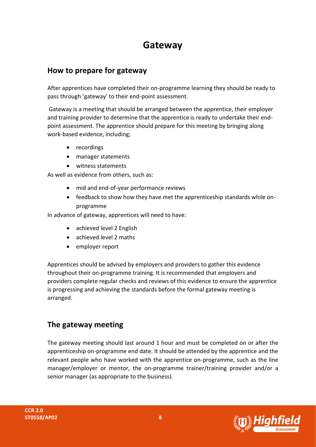### **Gateway**

### <span id="page-7-0"></span>**How to prepare for gateway**

After apprentices have completed their on-programme learning they should be ready to pass through 'gateway' to their end-point assessment.

Gateway is a meeting that should be arranged between the apprentice, their employer and training provider to determine that the apprentice is ready to undertake their endpoint assessment. The apprentice should prepare for this meeting by bringing along work-based evidence, including;

- recordings
- manager statements
- witness statements

As well as evidence from others, such as:

- mid and end-of-year performance reviews
- feedback to show how they have met the apprenticeship standards while onprogramme

In advance of gateway, apprentices will need to have:

- achieved level 2 English
- achieved level 2 maths
- employer report

Apprentices should be advised by employers and providers to gather this evidence throughout their on-programme training. It is recommended that employers and providers complete regular checks and reviews of this evidence to ensure the apprentice is progressing and achieving the standards before the formal gateway meeting is arranged.

### **The gateway meeting**

The gateway meeting should last around 1 hour and must be completed on or after the apprenticeship on-programme end date. It should be attended by the apprentice and the relevant people who have worked with the apprentice on-programme, such as the line manager/employer or mentor, the on-programme trainer/training provider and/or a senior manager (as appropriate to the business).

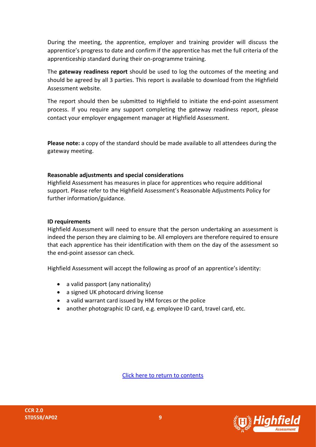During the meeting, the apprentice, employer and training provider will discuss the apprentice's progress to date and confirm if the apprentice has met the full criteria of the apprenticeship standard during their on-programme training.

The **gateway readiness report** should be used to log the outcomes of the meeting and should be agreed by all 3 parties. This report is available to download from the Highfield Assessment website.

The report should then be submitted to Highfield to initiate the end-point assessment process. If you require any support completing the gateway readiness report, please contact your employer engagement manager at Highfield Assessment.

**Please note:** a copy of the standard should be made available to all attendees during the gateway meeting.

#### **Reasonable adjustments and special considerations**

Highfield Assessment has measures in place for apprentices who require additional support. Please refer to the Highfield Assessment's Reasonable Adjustments Policy for further information/guidance.

#### **ID requirements**

Highfield Assessment will need to ensure that the person undertaking an assessment is indeed the person they are claiming to be. All employers are therefore required to ensure that each apprentice has their identification with them on the day of the assessment so the end-point assessor can check.

Highfield Assessment will accept the following as proof of an apprentice's identity:

- a valid passport (any nationality)
- a signed UK photocard driving license
- a valid warrant card issued by HM forces or the police
- another photographic ID card, e.g. employee ID card, travel card, etc.

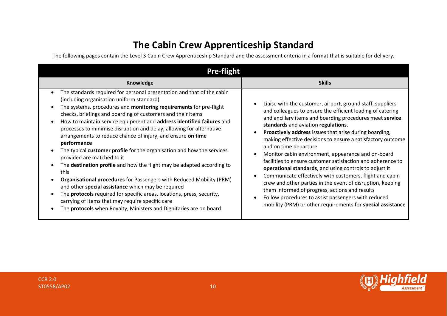### **The Cabin Crew Apprenticeship Standard**

The following pages contain the Level 3 Cabin Crew Apprenticeship Standard and the assessment criteria in a format that is suitable for delivery.

<span id="page-9-0"></span>

| <b>Pre-flight</b>                                                                                                                                                                                                                                                                                                                                                                                                                                                                                                                                                                                                                                                                                                                                                                                                                                                                                                                                                                                                                                    |                                                                                                                                                                                                                                                                                                                                                                                                                                                                                                                                                                                                                                                                                                                                                                                                                                                                                                                    |  |
|------------------------------------------------------------------------------------------------------------------------------------------------------------------------------------------------------------------------------------------------------------------------------------------------------------------------------------------------------------------------------------------------------------------------------------------------------------------------------------------------------------------------------------------------------------------------------------------------------------------------------------------------------------------------------------------------------------------------------------------------------------------------------------------------------------------------------------------------------------------------------------------------------------------------------------------------------------------------------------------------------------------------------------------------------|--------------------------------------------------------------------------------------------------------------------------------------------------------------------------------------------------------------------------------------------------------------------------------------------------------------------------------------------------------------------------------------------------------------------------------------------------------------------------------------------------------------------------------------------------------------------------------------------------------------------------------------------------------------------------------------------------------------------------------------------------------------------------------------------------------------------------------------------------------------------------------------------------------------------|--|
| Knowledge                                                                                                                                                                                                                                                                                                                                                                                                                                                                                                                                                                                                                                                                                                                                                                                                                                                                                                                                                                                                                                            | <b>Skills</b>                                                                                                                                                                                                                                                                                                                                                                                                                                                                                                                                                                                                                                                                                                                                                                                                                                                                                                      |  |
| The standards required for personal presentation and that of the cabin<br>$\bullet$<br>(including organisation uniform standard)<br>The systems, procedures and monitoring requirements for pre-flight<br>checks, briefings and boarding of customers and their items<br>How to maintain service equipment and address identified failures and<br>$\bullet$<br>processes to minimise disruption and delay, allowing for alternative<br>arrangements to reduce chance of injury, and ensure on time<br>performance<br>The typical customer profile for the organisation and how the services<br>provided are matched to it<br>The destination profile and how the flight may be adapted according to<br>this<br>Organisational procedures for Passengers with Reduced Mobility (PRM)<br>and other special assistance which may be required<br>The <b>protocols</b> required for specific areas, locations, press, security,<br>carrying of items that may require specific care<br>The protocols when Royalty, Ministers and Dignitaries are on board | Liaise with the customer, airport, ground staff, suppliers<br>$\bullet$<br>and colleagues to ensure the efficient loading of catering<br>and ancillary items and boarding procedures meet service<br>standards and aviation regulations.<br>Proactively address issues that arise during boarding,<br>$\bullet$<br>making effective decisions to ensure a satisfactory outcome<br>and on time departure<br>Monitor cabin environment, appearance and on-board<br>$\bullet$<br>facilities to ensure customer satisfaction and adherence to<br>operational standards, and using controls to adjust it<br>Communicate effectively with customers, flight and cabin<br>$\bullet$<br>crew and other parties in the event of disruption, keeping<br>them informed of progress, actions and results<br>Follow procedures to assist passengers with reduced<br>mobility (PRM) or other requirements for special assistance |  |

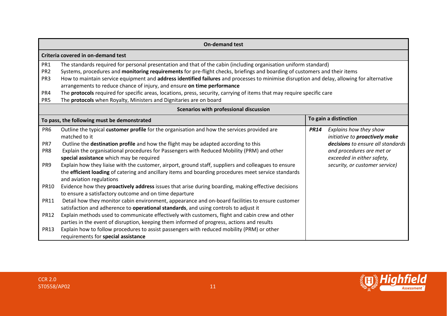|                                                                                                                                                                                                                                                                                                                                                                                                                                                                                                                                                                                                                                                                    | <b>On-demand test</b>                                                                                                                                                                                                                                                                                                                                                                                                                                                                                                                                                                     |             |                                                                                                                                                                                            |
|--------------------------------------------------------------------------------------------------------------------------------------------------------------------------------------------------------------------------------------------------------------------------------------------------------------------------------------------------------------------------------------------------------------------------------------------------------------------------------------------------------------------------------------------------------------------------------------------------------------------------------------------------------------------|-------------------------------------------------------------------------------------------------------------------------------------------------------------------------------------------------------------------------------------------------------------------------------------------------------------------------------------------------------------------------------------------------------------------------------------------------------------------------------------------------------------------------------------------------------------------------------------------|-------------|--------------------------------------------------------------------------------------------------------------------------------------------------------------------------------------------|
|                                                                                                                                                                                                                                                                                                                                                                                                                                                                                                                                                                                                                                                                    | Criteria covered in on-demand test                                                                                                                                                                                                                                                                                                                                                                                                                                                                                                                                                        |             |                                                                                                                                                                                            |
| PR <sub>1</sub><br>The standards required for personal presentation and that of the cabin (including organisation uniform standard)<br>PR <sub>2</sub><br>Systems, procedures and monitoring requirements for pre-flight checks, briefings and boarding of customers and their items<br>How to maintain service equipment and address identified failures and processes to minimise disruption and delay, allowing for alternative<br>PR <sub>3</sub><br>arrangements to reduce chance of injury, and ensure on time performance<br>PR4<br>The protocols required for specific areas, locations, press, security, carrying of items that may require specific care |                                                                                                                                                                                                                                                                                                                                                                                                                                                                                                                                                                                           |             |                                                                                                                                                                                            |
| PR5                                                                                                                                                                                                                                                                                                                                                                                                                                                                                                                                                                                                                                                                | The protocols when Royalty, Ministers and Dignitaries are on board<br>Scenarios with professional discussion                                                                                                                                                                                                                                                                                                                                                                                                                                                                              |             |                                                                                                                                                                                            |
|                                                                                                                                                                                                                                                                                                                                                                                                                                                                                                                                                                                                                                                                    | To gain a distinction<br>To pass, the following must be demonstrated                                                                                                                                                                                                                                                                                                                                                                                                                                                                                                                      |             |                                                                                                                                                                                            |
| PR <sub>6</sub><br>PR7<br>PR <sub>8</sub><br>PR <sub>9</sub>                                                                                                                                                                                                                                                                                                                                                                                                                                                                                                                                                                                                       | Outline the typical customer profile for the organisation and how the services provided are<br>matched to it<br>Outline the destination profile and how the flight may be adapted according to this<br>Explain the organisational procedures for Passengers with Reduced Mobility (PRM) and other<br>special assistance which may be required<br>Explain how they liaise with the customer, airport, ground staff, suppliers and colleagues to ensure<br>the efficient loading of catering and ancillary items and boarding procedures meet service standards<br>and aviation regulations | <b>PR14</b> | Explains how they show<br>initiative to proactively make<br>decisions to ensure all standards<br>and procedures are met or<br>exceeded in either safety,<br>security, or customer service) |
| <b>PR10</b><br><b>PR11</b>                                                                                                                                                                                                                                                                                                                                                                                                                                                                                                                                                                                                                                         | Evidence how they proactively address issues that arise during boarding, making effective decisions<br>to ensure a satisfactory outcome and on time departure<br>Detail how they monitor cabin environment, appearance and on-board facilities to ensure customer<br>satisfaction and adherence to operational standards, and using controls to adjust it                                                                                                                                                                                                                                 |             |                                                                                                                                                                                            |
| <b>PR12</b><br><b>PR13</b>                                                                                                                                                                                                                                                                                                                                                                                                                                                                                                                                                                                                                                         | Explain methods used to communicate effectively with customers, flight and cabin crew and other<br>parties in the event of disruption, keeping them informed of progress, actions and results<br>Explain how to follow procedures to assist passengers with reduced mobility (PRM) or other<br>requirements for special assistance                                                                                                                                                                                                                                                        |             |                                                                                                                                                                                            |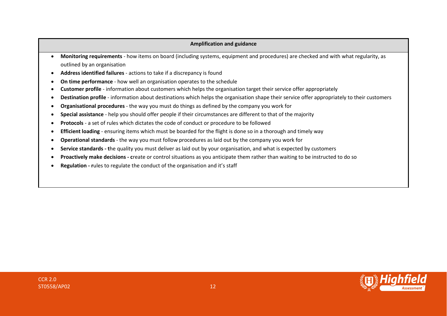- **Monitoring requirements** how items on board (including systems, equipment and procedures) are checked and with what regularity, as outlined by an organisation
- **Address identified failures** actions to take if a discrepancy is found
- **On time performance** how well an organisation operates to the schedule
- **Customer profile** information about customers which helps the organisation target their service offer appropriately
- **Destination profile** information about destinations which helps the organisation shape their service offer appropriately to their customers
- **Organisational procedures** the way you must do things as defined by the company you work for
- **Special assistance** help you should offer people if their circumstances are different to that of the majority
- **Protocols** a set of rules which dictates the code of conduct or procedure to be followed
- **Efficient loading** ensuring items which must be boarded for the flight is done so in a thorough and timely way
- **Operational standards** the way you must follow procedures as laid out by the company you work for
- **Service standards - t**he quality you must deliver as laid out by your organisation, and what is expected by customers
- **Proactively make decisions - c**reate or control situations as you anticipate them rather than waiting to be instructed to do so
- **Regulation - r**ules to regulate the conduct of the organisation and it's staff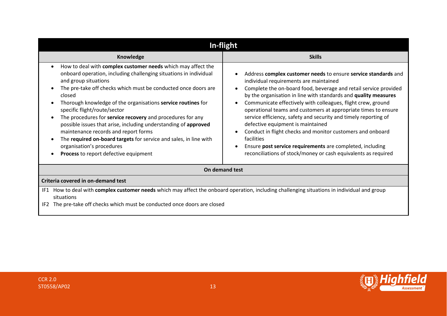| In-flight                                                                                                                                                                                                                                                                                                                                                                                                                                                                                                                                                                                                                                                 |                                                                                                                                                                                                                                                                                                                                                                                                                                                                                                                                                                                                                                                                                                      |  |  |
|-----------------------------------------------------------------------------------------------------------------------------------------------------------------------------------------------------------------------------------------------------------------------------------------------------------------------------------------------------------------------------------------------------------------------------------------------------------------------------------------------------------------------------------------------------------------------------------------------------------------------------------------------------------|------------------------------------------------------------------------------------------------------------------------------------------------------------------------------------------------------------------------------------------------------------------------------------------------------------------------------------------------------------------------------------------------------------------------------------------------------------------------------------------------------------------------------------------------------------------------------------------------------------------------------------------------------------------------------------------------------|--|--|
| Knowledge                                                                                                                                                                                                                                                                                                                                                                                                                                                                                                                                                                                                                                                 | <b>Skills</b>                                                                                                                                                                                                                                                                                                                                                                                                                                                                                                                                                                                                                                                                                        |  |  |
| How to deal with complex customer needs which may affect the<br>onboard operation, including challenging situations in individual<br>and group situations<br>The pre-take off checks which must be conducted once doors are<br>closed<br>Thorough knowledge of the organisations service routines for<br>specific flight/route/sector<br>The procedures for service recovery and procedures for any<br>possible issues that arise, including understanding of approved<br>maintenance records and report forms<br>The required on-board targets for service and sales, in line with<br>organisation's procedures<br>Process to report defective equipment | Address complex customer needs to ensure service standards and<br>individual requirements are maintained<br>Complete the on-board food, beverage and retail service provided<br>by the organisation in line with standards and quality measures<br>Communicate effectively with colleagues, flight crew, ground<br>operational teams and customers at appropriate times to ensure<br>service efficiency, safety and security and timely reporting of<br>defective equipment is maintained<br>Conduct in flight checks and monitor customers and onboard<br>facilities<br>Ensure post service requirements are completed, including<br>reconciliations of stock/money or cash equivalents as required |  |  |
| On demand test                                                                                                                                                                                                                                                                                                                                                                                                                                                                                                                                                                                                                                            |                                                                                                                                                                                                                                                                                                                                                                                                                                                                                                                                                                                                                                                                                                      |  |  |
| Criteria covered in on-demand test                                                                                                                                                                                                                                                                                                                                                                                                                                                                                                                                                                                                                        |                                                                                                                                                                                                                                                                                                                                                                                                                                                                                                                                                                                                                                                                                                      |  |  |
| IF1 How to deal with complex customer needs which may affect the onboard operation, including challenging situations in individual and group<br>situations<br>The pre-take off checks which must be conducted once doors are closed<br>IF <sub>2</sub>                                                                                                                                                                                                                                                                                                                                                                                                    |                                                                                                                                                                                                                                                                                                                                                                                                                                                                                                                                                                                                                                                                                                      |  |  |

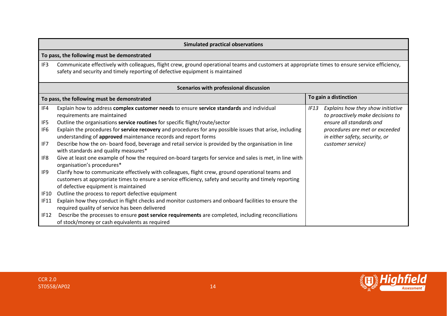|             | <b>Simulated practical observations</b>                                                                                                                                                                                                              |      |                                                                       |
|-------------|------------------------------------------------------------------------------------------------------------------------------------------------------------------------------------------------------------------------------------------------------|------|-----------------------------------------------------------------------|
|             | To pass, the following must be demonstrated                                                                                                                                                                                                          |      |                                                                       |
| IF3         | Communicate effectively with colleagues, flight crew, ground operational teams and customers at appropriate times to ensure service efficiency,<br>safety and security and timely reporting of defective equipment is maintained                     |      |                                                                       |
|             | Scenarios with professional discussion                                                                                                                                                                                                               |      |                                                                       |
|             | To pass, the following must be demonstrated                                                                                                                                                                                                          |      | To gain a distinction                                                 |
| IF4         | Explain how to address complex customer needs to ensure service standards and individual<br>requirements are maintained                                                                                                                              | IF13 | Explains how they show initiative<br>to proactively make decisions to |
| IF5         | Outline the organisations service routines for specific flight/route/sector                                                                                                                                                                          |      | ensure all standards and                                              |
| IF6         | Explain the procedures for service recovery and procedures for any possible issues that arise, including<br>understanding of approved maintenance records and report forms                                                                           |      | procedures are met or exceeded<br>in either safety, security, or      |
| IF7         | Describe how the on- board food, beverage and retail service is provided by the organisation in line<br>with standards and quality measures*                                                                                                         |      | customer service)                                                     |
| IF8         | Give at least one example of how the required on-board targets for service and sales is met, in line with<br>organisation's procedures*                                                                                                              |      |                                                                       |
| IF9         | Clarify how to communicate effectively with colleagues, flight crew, ground operational teams and<br>customers at appropriate times to ensure a service efficiency, safety and security and timely reporting<br>of defective equipment is maintained |      |                                                                       |
| IF10        | Outline the process to report defective equipment                                                                                                                                                                                                    |      |                                                                       |
| <b>IF11</b> | Explain how they conduct in flight checks and monitor customers and onboard facilities to ensure the<br>required quality of service has been delivered                                                                                               |      |                                                                       |
| IF12        | Describe the processes to ensure post service requirements are completed, including reconciliations<br>of stock/money or cash equivalents as required                                                                                                |      |                                                                       |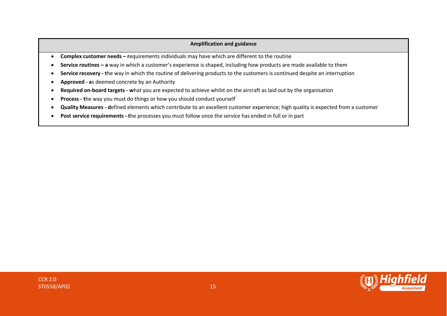- **Complex customer needs – r**equirements individuals may have which are different to the routine
- **Service routines – a** way in which a customer's experience is shaped, including how products are made available to them
- **Service recovery - t**he way in which the routine of delivering products to the customers is continued despite an interruption
- **Approved - a**s deemed concrete by an Authority
- **Required on-board targets - w**hat you are expected to achieve whilst on the aircraft as laid out by the organisation
- **Process - t**he way you must do things or how you should conduct yourself
- **Quality Measures - d**efined elements which contribute to an excellent customer experience; high quality is expected from a customer
- **Post service requirements - t**he processes you must follow once the service has ended in full or in part

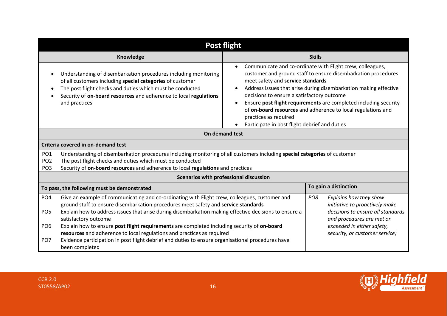| <b>Post flight</b>                                                       |                                                                                                                                                                                                                                                                                                                                                                                                                                                                                                                                                                                                                      |                                                                                                                                                                                                                                                                                                                                                                                                                                                                                                              |  |  |
|--------------------------------------------------------------------------|----------------------------------------------------------------------------------------------------------------------------------------------------------------------------------------------------------------------------------------------------------------------------------------------------------------------------------------------------------------------------------------------------------------------------------------------------------------------------------------------------------------------------------------------------------------------------------------------------------------------|--------------------------------------------------------------------------------------------------------------------------------------------------------------------------------------------------------------------------------------------------------------------------------------------------------------------------------------------------------------------------------------------------------------------------------------------------------------------------------------------------------------|--|--|
|                                                                          | Knowledge                                                                                                                                                                                                                                                                                                                                                                                                                                                                                                                                                                                                            | <b>Skills</b>                                                                                                                                                                                                                                                                                                                                                                                                                                                                                                |  |  |
|                                                                          | Understanding of disembarkation procedures including monitoring<br>of all customers including special categories of customer<br>The post flight checks and duties which must be conducted<br>Security of on-board resources and adherence to local regulations<br>and practices                                                                                                                                                                                                                                                                                                                                      | Communicate and co-ordinate with Flight crew, colleagues,<br>customer and ground staff to ensure disembarkation procedures<br>meet safety and service standards<br>Address issues that arise during disembarkation making effective<br>decisions to ensure a satisfactory outcome<br>Ensure post flight requirements are completed including security<br>$\bullet$<br>of on-board resources and adherence to local regulations and<br>practices as required<br>Participate in post flight debrief and duties |  |  |
|                                                                          | On demand test                                                                                                                                                                                                                                                                                                                                                                                                                                                                                                                                                                                                       |                                                                                                                                                                                                                                                                                                                                                                                                                                                                                                              |  |  |
|                                                                          | Criteria covered in on-demand test                                                                                                                                                                                                                                                                                                                                                                                                                                                                                                                                                                                   |                                                                                                                                                                                                                                                                                                                                                                                                                                                                                                              |  |  |
| PO <sub>1</sub><br>PO <sub>2</sub><br>PO <sub>3</sub>                    | Understanding of disembarkation procedures including monitoring of all customers including special categories of customer<br>The post flight checks and duties which must be conducted<br>Security of on-board resources and adherence to local regulations and practices<br>Scenarios with professional discussion                                                                                                                                                                                                                                                                                                  |                                                                                                                                                                                                                                                                                                                                                                                                                                                                                                              |  |  |
|                                                                          | To pass, the following must be demonstrated                                                                                                                                                                                                                                                                                                                                                                                                                                                                                                                                                                          | To gain a distinction                                                                                                                                                                                                                                                                                                                                                                                                                                                                                        |  |  |
| PO <sub>4</sub><br>PO <sub>5</sub><br>PO <sub>6</sub><br>PO <sub>7</sub> | Give an example of communicating and co-ordinating with Flight crew, colleagues, customer and<br>ground staff to ensure disembarkation procedures meet safety and service standards<br>Explain how to address issues that arise during disembarkation making effective decisions to ensure a<br>satisfactory outcome<br>Explain how to ensure post flight requirements are completed including security of on-board<br>resources and adherence to local regulations and practices as required<br>Evidence participation in post flight debrief and duties to ensure organisational procedures have<br>been completed | Explains how they show<br>PO <sub>8</sub><br>initiative to proactively make<br>decisions to ensure all standards<br>and procedures are met or<br>exceeded in either safety,<br>security, or customer service)                                                                                                                                                                                                                                                                                                |  |  |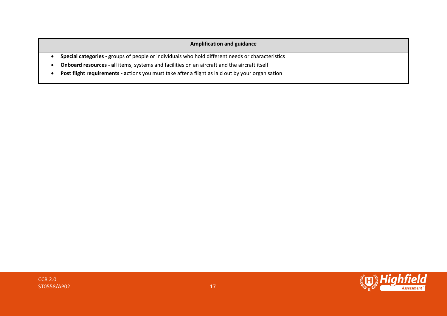- **Special categories - g**roups of people or individuals who hold different needs or characteristics
- **Onboard resources - a**ll items, systems and facilities on an aircraft and the aircraft itself
- **Post flight requirements - a**ctions you must take after a flight as laid out by your organisation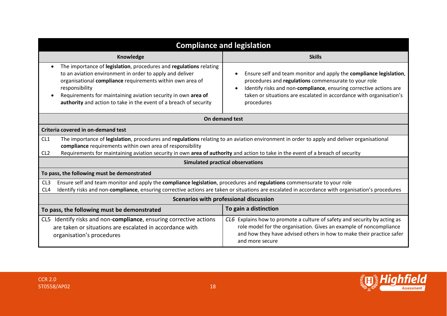|                                                                      | <b>Compliance and legislation</b>                                                                                                                                                                                                                                                                                                                   |                                                                                                                                                                                                                                                                                       |  |  |
|----------------------------------------------------------------------|-----------------------------------------------------------------------------------------------------------------------------------------------------------------------------------------------------------------------------------------------------------------------------------------------------------------------------------------------------|---------------------------------------------------------------------------------------------------------------------------------------------------------------------------------------------------------------------------------------------------------------------------------------|--|--|
|                                                                      | Knowledge<br><b>Skills</b>                                                                                                                                                                                                                                                                                                                          |                                                                                                                                                                                                                                                                                       |  |  |
|                                                                      | The importance of legislation, procedures and regulations relating<br>to an aviation environment in order to apply and deliver<br>organisational compliance requirements within own area of<br>responsibility<br>Requirements for maintaining aviation security in own area of<br>authority and action to take in the event of a breach of security | Ensure self and team monitor and apply the compliance legislation,<br>procedures and regulations commensurate to your role<br>Identify risks and non-compliance, ensuring corrective actions are<br>taken or situations are escalated in accordance with organisation's<br>procedures |  |  |
|                                                                      |                                                                                                                                                                                                                                                                                                                                                     | On demand test                                                                                                                                                                                                                                                                        |  |  |
|                                                                      | Criteria covered in on-demand test                                                                                                                                                                                                                                                                                                                  |                                                                                                                                                                                                                                                                                       |  |  |
| CL <sub>1</sub><br>CL <sub>2</sub>                                   | The importance of legislation, procedures and regulations relating to an aviation environment in order to apply and deliver organisational<br>compliance requirements within own area of responsibility<br>Requirements for maintaining aviation security in own area of authority and action to take in the event of a breach of security          |                                                                                                                                                                                                                                                                                       |  |  |
|                                                                      | <b>Simulated practical observations</b>                                                                                                                                                                                                                                                                                                             |                                                                                                                                                                                                                                                                                       |  |  |
|                                                                      | To pass, the following must be demonstrated                                                                                                                                                                                                                                                                                                         |                                                                                                                                                                                                                                                                                       |  |  |
| CL <sub>3</sub><br>CL <sub>4</sub>                                   | Ensure self and team monitor and apply the compliance legislation, procedures and regulations commensurate to your role<br>Identify risks and non-compliance, ensuring corrective actions are taken or situations are escalated in accordance with organisation's procedures                                                                        |                                                                                                                                                                                                                                                                                       |  |  |
|                                                                      | Scenarios with professional discussion                                                                                                                                                                                                                                                                                                              |                                                                                                                                                                                                                                                                                       |  |  |
| To gain a distinction<br>To pass, the following must be demonstrated |                                                                                                                                                                                                                                                                                                                                                     |                                                                                                                                                                                                                                                                                       |  |  |
|                                                                      | CL5 Identify risks and non-compliance, ensuring corrective actions<br>are taken or situations are escalated in accordance with<br>organisation's procedures                                                                                                                                                                                         | CL6 Explains how to promote a culture of safety and security by acting as<br>role model for the organisation. Gives an example of noncompliance<br>and how they have advised others in how to make their practice safer<br>and more secure                                            |  |  |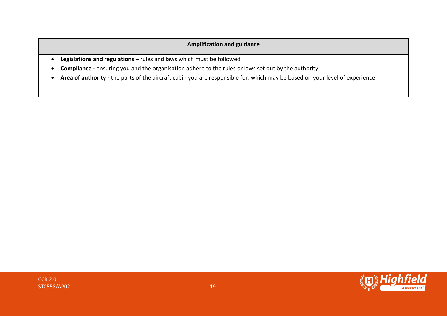- **Legislations and regulations –** rules and laws which must be followed
- **Compliance -** ensuring you and the organisation adhere to the rules or laws set out by the authority
- **Area of authority -** the parts of the aircraft cabin you are responsible for, which may be based on your level of experience

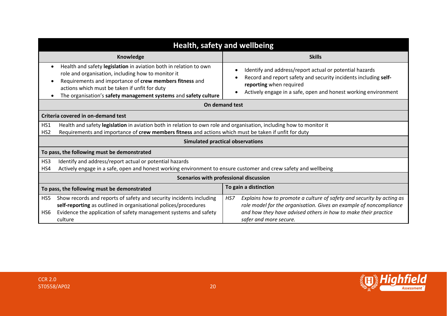| Health, safety and wellbeing                                                                                                                                                                                                                                                                           |                                                                                                                                                                                                                                                |  |  |
|--------------------------------------------------------------------------------------------------------------------------------------------------------------------------------------------------------------------------------------------------------------------------------------------------------|------------------------------------------------------------------------------------------------------------------------------------------------------------------------------------------------------------------------------------------------|--|--|
| Knowledge<br><b>Skills</b>                                                                                                                                                                                                                                                                             |                                                                                                                                                                                                                                                |  |  |
| Health and safety legislation in aviation both in relation to own<br>role and organisation, including how to monitor it<br>Requirements and importance of crew members fitness and<br>actions which must be taken if unfit for duty<br>The organisation's safety management systems and safety culture | Identify and address/report actual or potential hazards<br>Record and report safety and security incidents including self-<br>reporting when required<br>Actively engage in a safe, open and honest working environment                        |  |  |
|                                                                                                                                                                                                                                                                                                        | On demand test                                                                                                                                                                                                                                 |  |  |
| Criteria covered in on-demand test                                                                                                                                                                                                                                                                     |                                                                                                                                                                                                                                                |  |  |
| HS1<br>Health and safety legislation in aviation both in relation to own role and organisation, including how to monitor it<br>Requirements and importance of crew members fitness and actions which must be taken if unfit for duty<br>HS <sub>2</sub>                                                |                                                                                                                                                                                                                                                |  |  |
|                                                                                                                                                                                                                                                                                                        | <b>Simulated practical observations</b>                                                                                                                                                                                                        |  |  |
| To pass, the following must be demonstrated                                                                                                                                                                                                                                                            |                                                                                                                                                                                                                                                |  |  |
| Identify and address/report actual or potential hazards<br>HS3<br>Actively engage in a safe, open and honest working environment to ensure customer and crew safety and wellbeing<br>HS4                                                                                                               |                                                                                                                                                                                                                                                |  |  |
| <b>Scenarios with professional discussion</b>                                                                                                                                                                                                                                                          |                                                                                                                                                                                                                                                |  |  |
| To gain a distinction<br>To pass, the following must be demonstrated                                                                                                                                                                                                                                   |                                                                                                                                                                                                                                                |  |  |
| Show records and reports of safety and security incidents including<br>HS5<br>self-reporting as outlined in organisational polices/procedures<br>Evidence the application of safety management systems and safety<br>HS6<br>culture                                                                    | Explains how to promote a culture of safety and security by acting as<br>HS7<br>role model for the organisation. Gives an example of noncompliance<br>and how they have advised others in how to make their practice<br>safer and more secure. |  |  |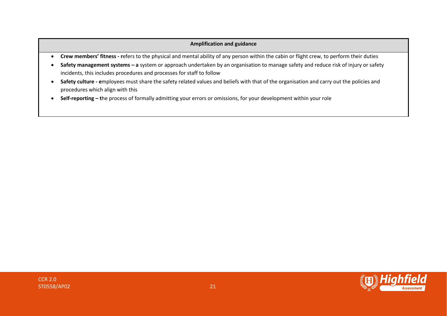- **Crew members' fitness - r**efers to the physical and mental ability of any person within the cabin or flight crew, to perform their duties
- **Safety management systems – a** system or approach undertaken by an organisation to manage safety and reduce risk of injury or safety incidents, this includes procedures and processes for staff to follow
- Safety culture employees must share the safety related values and beliefs with that of the organisation and carry out the policies and procedures which align with this
- **Self-reporting – t**he process of formally admitting your errors or omissions, for your development within your role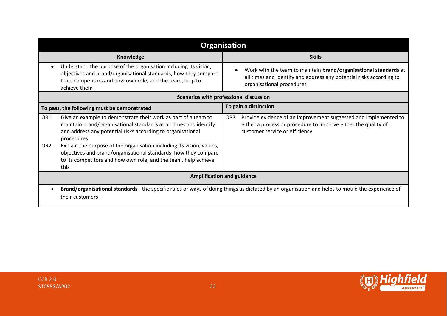|                                    | <b>Organisation</b>                                                                                                                                                                                                                                                                                                                                                                                                                     |                       |                                                                                                                                                                      |  |
|------------------------------------|-----------------------------------------------------------------------------------------------------------------------------------------------------------------------------------------------------------------------------------------------------------------------------------------------------------------------------------------------------------------------------------------------------------------------------------------|-----------------------|----------------------------------------------------------------------------------------------------------------------------------------------------------------------|--|
|                                    | Knowledge                                                                                                                                                                                                                                                                                                                                                                                                                               |                       | <b>Skills</b>                                                                                                                                                        |  |
|                                    | Understand the purpose of the organisation including its vision,<br>objectives and brand/organisational standards, how they compare<br>to its competitors and how own role, and the team, help to<br>achieve them                                                                                                                                                                                                                       |                       | Work with the team to maintain brand/organisational standards at<br>all times and identify and address any potential risks according to<br>organisational procedures |  |
|                                    | Scenarios with professional discussion                                                                                                                                                                                                                                                                                                                                                                                                  |                       |                                                                                                                                                                      |  |
|                                    | To pass, the following must be demonstrated                                                                                                                                                                                                                                                                                                                                                                                             | To gain a distinction |                                                                                                                                                                      |  |
| OR <sub>1</sub><br>OR <sub>2</sub> | Give an example to demonstrate their work as part of a team to<br>maintain brand/organisational standards at all times and identify<br>and address any potential risks according to organisational<br>procedures<br>Explain the purpose of the organisation including its vision, values,<br>objectives and brand/organisational standards, how they compare<br>to its competitors and how own role, and the team, help achieve<br>this | OR <sub>3</sub>       | Provide evidence of an improvement suggested and implemented to<br>either a process or procedure to improve either the quality of<br>customer service or efficiency  |  |
| <b>Amplification and guidance</b>  |                                                                                                                                                                                                                                                                                                                                                                                                                                         |                       |                                                                                                                                                                      |  |
|                                    | Brand/organisational standards - the specific rules or ways of doing things as dictated by an organisation and helps to mould the experience of<br>their customers                                                                                                                                                                                                                                                                      |                       |                                                                                                                                                                      |  |

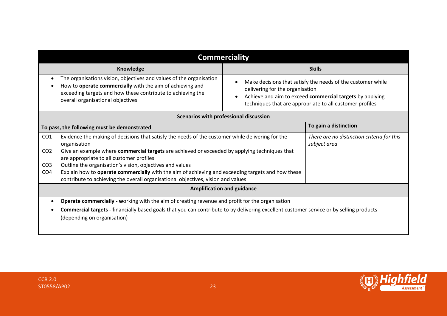| <b>Commerciality</b>                                                 |                                                                                                                                                                                                                                      |                                                                                                                                                                                                                        |                                                            |  |
|----------------------------------------------------------------------|--------------------------------------------------------------------------------------------------------------------------------------------------------------------------------------------------------------------------------------|------------------------------------------------------------------------------------------------------------------------------------------------------------------------------------------------------------------------|------------------------------------------------------------|--|
|                                                                      | Knowledge<br><b>Skills</b>                                                                                                                                                                                                           |                                                                                                                                                                                                                        |                                                            |  |
|                                                                      | The organisations vision, objectives and values of the organisation<br>How to operate commercially with the aim of achieving and<br>exceeding targets and how these contribute to achieving the<br>overall organisational objectives | Make decisions that satisfy the needs of the customer while<br>delivering for the organisation<br>Achieve and aim to exceed commercial targets by applying<br>techniques that are appropriate to all customer profiles |                                                            |  |
| Scenarios with professional discussion                               |                                                                                                                                                                                                                                      |                                                                                                                                                                                                                        |                                                            |  |
| To gain a distinction<br>To pass, the following must be demonstrated |                                                                                                                                                                                                                                      |                                                                                                                                                                                                                        |                                                            |  |
| CO <sub>1</sub><br>CO <sub>2</sub>                                   | Evidence the making of decisions that satisfy the needs of the customer while delivering for the<br>organisation<br>Give an example where commercial targets are achieved or exceeded by applying techniques that                    |                                                                                                                                                                                                                        | There are no distinction criteria for this<br>subject area |  |
| CO <sub>3</sub>                                                      | are appropriate to all customer profiles<br>Outline the organisation's vision, objectives and values                                                                                                                                 |                                                                                                                                                                                                                        |                                                            |  |
| CO <sub>4</sub>                                                      | Explain how to operate commercially with the aim of achieving and exceeding targets and how these<br>contribute to achieving the overall organisational objectives, vision and values                                                |                                                                                                                                                                                                                        |                                                            |  |
| <b>Amplification and guidance</b>                                    |                                                                                                                                                                                                                                      |                                                                                                                                                                                                                        |                                                            |  |
|                                                                      | <b>Operate commercially - working with the aim of creating revenue and profit for the organisation</b>                                                                                                                               |                                                                                                                                                                                                                        |                                                            |  |
|                                                                      | Commercial targets - financially based goals that you can contribute to by delivering excellent customer service or by selling products                                                                                              |                                                                                                                                                                                                                        |                                                            |  |
|                                                                      | (depending on organisation)                                                                                                                                                                                                          |                                                                                                                                                                                                                        |                                                            |  |
|                                                                      |                                                                                                                                                                                                                                      |                                                                                                                                                                                                                        |                                                            |  |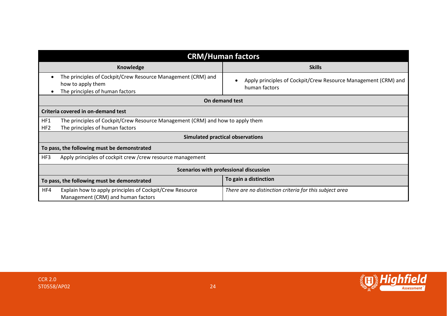|                                                                      | <b>CRM/Human factors</b>                                                                                             |                                                                                 |  |  |
|----------------------------------------------------------------------|----------------------------------------------------------------------------------------------------------------------|---------------------------------------------------------------------------------|--|--|
|                                                                      | Knowledge                                                                                                            | <b>Skills</b>                                                                   |  |  |
|                                                                      | The principles of Cockpit/Crew Resource Management (CRM) and<br>how to apply them<br>The principles of human factors | Apply principles of Cockpit/Crew Resource Management (CRM) and<br>human factors |  |  |
|                                                                      |                                                                                                                      | On demand test                                                                  |  |  |
|                                                                      | Criteria covered in on-demand test                                                                                   |                                                                                 |  |  |
| HF1<br>HF <sub>2</sub>                                               | The principles of Cockpit/Crew Resource Management (CRM) and how to apply them<br>The principles of human factors    |                                                                                 |  |  |
|                                                                      | <b>Simulated practical observations</b>                                                                              |                                                                                 |  |  |
|                                                                      | To pass, the following must be demonstrated                                                                          |                                                                                 |  |  |
| HF3                                                                  | Apply principles of cockpit crew / crew resource management                                                          |                                                                                 |  |  |
|                                                                      | Scenarios with professional discussion                                                                               |                                                                                 |  |  |
| To gain a distinction<br>To pass, the following must be demonstrated |                                                                                                                      |                                                                                 |  |  |
| HF4                                                                  | Explain how to apply principles of Cockpit/Crew Resource<br>Management (CRM) and human factors                       | There are no distinction criteria for this subject area                         |  |  |

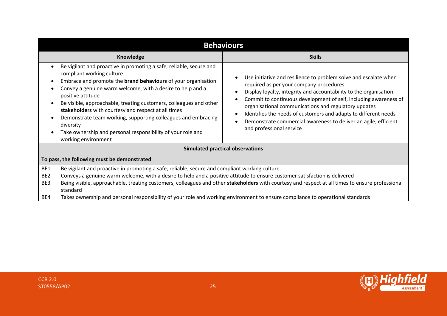| <b>Behaviours</b>                           |                                                                                                                                                                                                                                                                                                                                                                                                                                                                                                                                                              |                                                                                                                                                                                                                                                                                                                                                                                                                                                                                |  |  |
|---------------------------------------------|--------------------------------------------------------------------------------------------------------------------------------------------------------------------------------------------------------------------------------------------------------------------------------------------------------------------------------------------------------------------------------------------------------------------------------------------------------------------------------------------------------------------------------------------------------------|--------------------------------------------------------------------------------------------------------------------------------------------------------------------------------------------------------------------------------------------------------------------------------------------------------------------------------------------------------------------------------------------------------------------------------------------------------------------------------|--|--|
|                                             | Knowledge                                                                                                                                                                                                                                                                                                                                                                                                                                                                                                                                                    | <b>Skills</b>                                                                                                                                                                                                                                                                                                                                                                                                                                                                  |  |  |
|                                             | Be vigilant and proactive in promoting a safe, reliable, secure and<br>compliant working culture<br>Embrace and promote the <b>brand behaviours</b> of your organisation<br>Convey a genuine warm welcome, with a desire to help and a<br>positive attitude<br>Be visible, approachable, treating customers, colleagues and other<br>stakeholders with courtesy and respect at all times<br>Demonstrate team working, supporting colleagues and embracing<br>diversity<br>Take ownership and personal responsibility of your role and<br>working environment | Use initiative and resilience to problem solve and escalate when<br>required as per your company procedures<br>Display loyalty, integrity and accountability to the organisation<br>Commit to continuous development of self, including awareness of<br>organisational communications and regulatory updates<br>Identifies the needs of customers and adapts to different needs<br>Demonstrate commercial awareness to deliver an agile, efficient<br>and professional service |  |  |
|                                             |                                                                                                                                                                                                                                                                                                                                                                                                                                                                                                                                                              | <b>Simulated practical observations</b>                                                                                                                                                                                                                                                                                                                                                                                                                                        |  |  |
| To pass, the following must be demonstrated |                                                                                                                                                                                                                                                                                                                                                                                                                                                                                                                                                              |                                                                                                                                                                                                                                                                                                                                                                                                                                                                                |  |  |
| BE1<br>BE <sub>2</sub><br>BE3               | Be vigilant and proactive in promoting a safe, reliable, secure and compliant working culture<br>Conveys a genuine warm welcome, with a desire to help and a positive attitude to ensure customer satisfaction is delivered<br>Being visible, approachable, treating customers, colleagues and other stakeholders with courtesy and respect at all times to ensure professional<br>standard                                                                                                                                                                  |                                                                                                                                                                                                                                                                                                                                                                                                                                                                                |  |  |
| BE4                                         | Takes ownership and personal responsibility of your role and working environment to ensure compliance to operational standards                                                                                                                                                                                                                                                                                                                                                                                                                               |                                                                                                                                                                                                                                                                                                                                                                                                                                                                                |  |  |

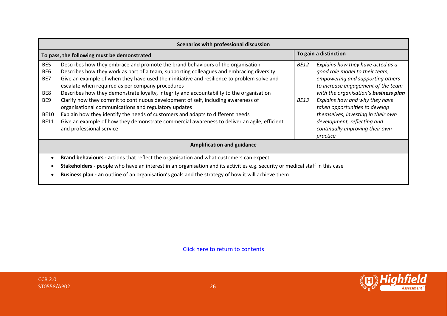| Scenarios with professional discussion                  |                                                                                                                                                                                                                                                                                                                                                                                                                                                                                                                                                                         |                            |                                                                                                                                                                                                                                                            |  |
|---------------------------------------------------------|-------------------------------------------------------------------------------------------------------------------------------------------------------------------------------------------------------------------------------------------------------------------------------------------------------------------------------------------------------------------------------------------------------------------------------------------------------------------------------------------------------------------------------------------------------------------------|----------------------------|------------------------------------------------------------------------------------------------------------------------------------------------------------------------------------------------------------------------------------------------------------|--|
| To pass, the following must be demonstrated             |                                                                                                                                                                                                                                                                                                                                                                                                                                                                                                                                                                         |                            | To gain a distinction                                                                                                                                                                                                                                      |  |
| BE5<br>BE <sub>6</sub><br>BE7<br>BE8<br>BE <sub>9</sub> | Describes how they embrace and promote the brand behaviours of the organisation<br>Describes how they work as part of a team, supporting colleagues and embracing diversity<br>Give an example of when they have used their initiative and resilience to problem solve and<br>escalate when required as per company procedures<br>Describes how they demonstrate loyalty, integrity and accountability to the organisation<br>Clarify how they commit to continuous development of self, including awareness of<br>organisational communications and regulatory updates | <b>BE12</b><br><i>BE13</i> | Explains how they have acted as a<br>good role model to their team,<br>empowering and supporting others<br>to increase engagement of the team<br>with the organisation's business plan<br>Explains how and why they have<br>taken opportunities to develop |  |
| <b>BE10</b><br><b>BE11</b>                              | Explain how they identify the needs of customers and adapts to different needs<br>Give an example of how they demonstrate commercial awareness to deliver an agile, efficient<br>and professional service                                                                                                                                                                                                                                                                                                                                                               |                            | themselves, investing in their own<br>development, reflecting and<br>continually improving their own<br>practice                                                                                                                                           |  |
| <b>Amplification and guidance</b>                       |                                                                                                                                                                                                                                                                                                                                                                                                                                                                                                                                                                         |                            |                                                                                                                                                                                                                                                            |  |
|                                                         | <b>Brand behaviours - actions that reflect the organisation and what customers can expect</b>                                                                                                                                                                                                                                                                                                                                                                                                                                                                           |                            |                                                                                                                                                                                                                                                            |  |
|                                                         | Stakeholders - people who have an interest in an organisation and its activities e.g. security or medical staff in this case<br>Business plan - an outline of an organisation's goals and the strategy of how it will achieve them                                                                                                                                                                                                                                                                                                                                      |                            |                                                                                                                                                                                                                                                            |  |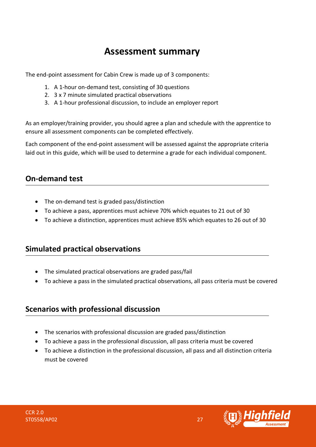### **Assessment summary**

<span id="page-26-0"></span>The end-point assessment for Cabin Crew is made up of 3 components:

- 1. A 1-hour on-demand test, consisting of 30 questions
- 2. 3 x 7 minute simulated practical observations
- 3. A 1-hour professional discussion, to include an employer report

As an employer/training provider, you should agree a plan and schedule with the apprentice to ensure all assessment components can be completed effectively.

Each component of the end-point assessment will be assessed against the appropriate criteria laid out in this guide, which will be used to determine a grade for each individual component.

### **On-demand test**

- The on-demand test is graded pass/distinction
- To achieve a pass, apprentices must achieve 70% which equates to 21 out of 30
- To achieve a distinction, apprentices must achieve 85% which equates to 26 out of 30

### **Simulated practical observations**

- The simulated practical observations are graded pass/fail
- To achieve a pass in the simulated practical observations, all pass criteria must be covered

### **Scenarios with professional discussion**

- The scenarios with professional discussion are graded pass/distinction
- To achieve a pass in the professional discussion, all pass criteria must be covered
- To achieve a distinction in the professional discussion, all pass and all distinction criteria must be covered

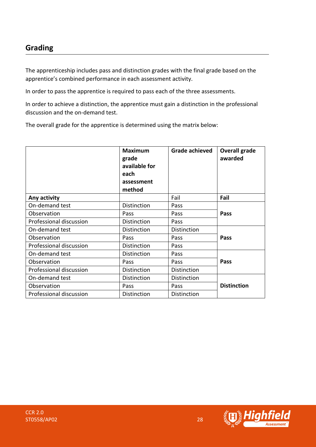### **Grading**

The apprenticeship includes pass and distinction grades with the final grade based on the apprentice's combined performance in each assessment activity.

In order to pass the apprentice is required to pass each of the three assessments.

In order to achieve a distinction, the apprentice must gain a distinction in the professional discussion and the on-demand test.

The overall grade for the apprentice is determined using the matrix below:

|                         | <b>Maximum</b><br>grade<br>available for<br>each<br>assessment<br>method | Grade achieved | <b>Overall grade</b><br>awarded |  |
|-------------------------|--------------------------------------------------------------------------|----------------|---------------------------------|--|
| Any activity            |                                                                          | Fail           | Fail                            |  |
| On-demand test          | Distinction                                                              | Pass           |                                 |  |
| Observation             | Pass                                                                     | Pass           | Pass                            |  |
| Professional discussion | Distinction                                                              | Pass           |                                 |  |
| On-demand test          | Distinction                                                              | Distinction    |                                 |  |
| Observation             | Pass                                                                     | Pass           | Pass                            |  |
| Professional discussion | Distinction                                                              | Pass           |                                 |  |
| On-demand test          | Distinction                                                              | Pass           |                                 |  |
| Observation             | Pass                                                                     | Pass           | Pass                            |  |
| Professional discussion | Distinction                                                              | Distinction    |                                 |  |
| On-demand test          | Distinction                                                              | Distinction    |                                 |  |
| Observation             | Pass                                                                     | Pass           | <b>Distinction</b>              |  |
| Professional discussion | Distinction                                                              | Distinction    |                                 |  |

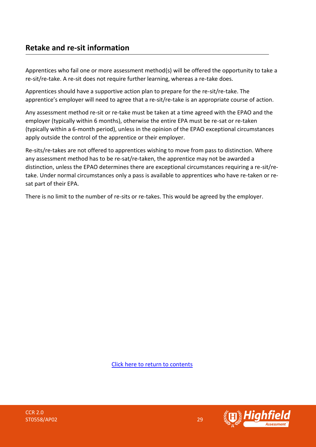### **Retake and re-sit information**

Apprentices who fail one or more assessment method(s) will be offered the opportunity to take a re-sit/re-take. A re-sit does not require further learning, whereas a re-take does.

Apprentices should have a supportive action plan to prepare for the re-sit/re-take. The apprentice's employer will need to agree that a re-sit/re-take is an appropriate course of action.

Any assessment method re-sit or re-take must be taken at a time agreed with the EPAO and the employer (typically within 6 months), otherwise the entire EPA must be re-sat or re-taken (typically within a 6-month period), unless in the opinion of the EPAO exceptional circumstances apply outside the control of the apprentice or their employer.

Re-sits/re-takes are not offered to apprentices wishing to move from pass to distinction. Where any assessment method has to be re-sat/re-taken, the apprentice may not be awarded a distinction, unless the EPAO determines there are exceptional circumstances requiring a re-sit/retake. Under normal circumstances only a pass is available to apprentices who have re-taken or resat part of their EPA.

There is no limit to the number of re-sits or re-takes. This would be agreed by the employer.

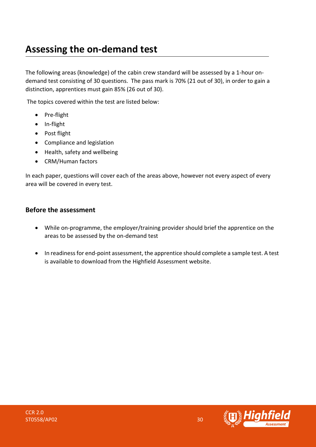### <span id="page-29-0"></span>**Assessing the on-demand test**

The following areas (knowledge) of the cabin crew standard will be assessed by a 1-hour ondemand test consisting of 30 questions. The pass mark is 70% (21 out of 30), in order to gain a distinction, apprentices must gain 85% (26 out of 30).

The topics covered within the test are listed below:

- Pre-flight
- In-flight
- Post flight
- Compliance and legislation
- Health, safety and wellbeing
- CRM/Human factors

In each paper, questions will cover each of the areas above, however not every aspect of every area will be covered in every test.

### **Before the assessment**

- While on-programme, the employer/training provider should brief the apprentice on the areas to be assessed by the on-demand test
- In readiness for end-point assessment, the apprentice should complete a sample test. A test is available to download from the Highfield Assessment website.

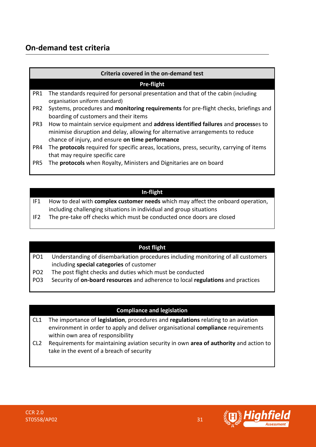### **On-demand test criteria**

|                 | Criteria covered in the on-demand test                                                                                                                                                                                                 |  |  |  |  |
|-----------------|----------------------------------------------------------------------------------------------------------------------------------------------------------------------------------------------------------------------------------------|--|--|--|--|
|                 | <b>Pre-flight</b>                                                                                                                                                                                                                      |  |  |  |  |
| PR1             | The standards required for personal presentation and that of the cabin (including<br>organisation uniform standard)                                                                                                                    |  |  |  |  |
| PR <sub>2</sub> | Systems, procedures and monitoring requirements for pre-flight checks, briefings and<br>boarding of customers and their items                                                                                                          |  |  |  |  |
| PR <sub>3</sub> | How to maintain service equipment and <b>address identified failures</b> and <b>processes</b> to<br>minimise disruption and delay, allowing for alternative arrangements to reduce<br>chance of injury, and ensure on time performance |  |  |  |  |
| PR4             | The protocols required for specific areas, locations, press, security, carrying of items<br>that may require specific care                                                                                                             |  |  |  |  |
| PR <sub>5</sub> | The protocols when Royalty, Ministers and Dignitaries are on board                                                                                                                                                                     |  |  |  |  |

### **In-flight**

| IF1  | How to deal with complex customer needs which may affect the onboard operation, |
|------|---------------------------------------------------------------------------------|
|      | including challenging situations in individual and group situations             |
| $-2$ |                                                                                 |

IF2 The pre-take off checks which must be conducted once doors are closed

#### **Post flight**

| PO1 | Understanding of disembarkation procedures including monitoring of all customers |
|-----|----------------------------------------------------------------------------------|
|     | including special categories of customer                                         |

- PO2 The post flight checks and duties which must be conducted
- PO3 Security of **on-board resources** and adherence to local **regulations** and practices

### **Compliance and legislation**

- CL1 The importance of **legislation**, procedures and **regulations** relating to an aviation environment in order to apply and deliver organisational **compliance** requirements within own area of responsibility
- CL2 Requirements for maintaining aviation security in own **area of authority** and action to take in the event of a breach of security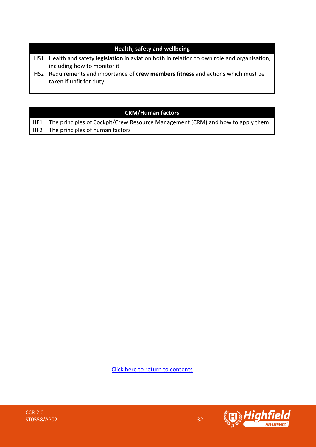### **Health, safety and wellbeing**

- HS1 Health and safety **legislation** in aviation both in relation to own role and organisation, including how to monitor it
- HS2 Requirements and importance of **crew members fitness** and actions which must be taken if unfit for duty

### **CRM/Human factors**

HF1 The principles of Cockpit/Crew Resource Management (CRM) and how to apply them HF2 The principles of human factors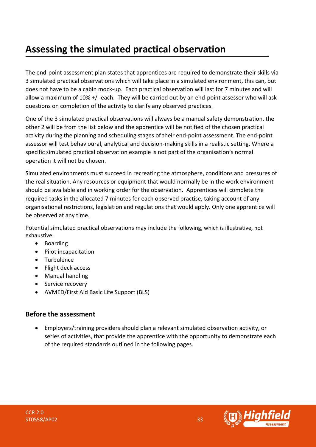### <span id="page-32-0"></span>**Assessing the simulated practical observation**

The end-point assessment plan states that apprentices are required to demonstrate their skills via 3 simulated practical observations which will take place in a simulated environment, this can, but does not have to be a cabin mock-up. Each practical observation will last for 7 minutes and will allow a maximum of 10% +/- each. They will be carried out by an end-point assessor who will ask questions on completion of the activity to clarify any observed practices.

One of the 3 simulated practical observations will always be a manual safety demonstration, the other 2 will be from the list below and the apprentice will be notified of the chosen practical activity during the planning and scheduling stages of their end-point assessment. The end-point assessor will test behavioural, analytical and decision-making skills in a realistic setting. Where a specific simulated practical observation example is not part of the organisation's normal operation it will not be chosen.

Simulated environments must succeed in recreating the atmosphere, conditions and pressures of the real situation. Any resources or equipment that would normally be in the work environment should be available and in working order for the observation. Apprentices will complete the required tasks in the allocated 7 minutes for each observed practise, taking account of any organisational restrictions, legislation and regulations that would apply. Only one apprentice will be observed at any time.

Potential simulated practical observations may include the following, which is illustrative, not exhaustive:

- Boarding
- Pilot incapacitation
- Turbulence
- Flight deck access
- Manual handling
- Service recovery
- AVMED/First Aid Basic Life Support (BLS)

### **Before the assessment**

• Employers/training providers should plan a relevant simulated observation activity, or series of activities, that provide the apprentice with the opportunity to demonstrate each of the required standards outlined in the following pages.

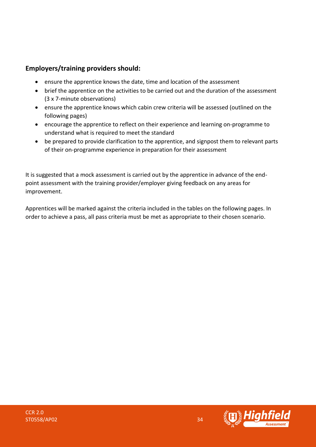### **Employers/training providers should:**

- ensure the apprentice knows the date, time and location of the assessment
- brief the apprentice on the activities to be carried out and the duration of the assessment (3 x 7-minute observations)
- ensure the apprentice knows which cabin crew criteria will be assessed (outlined on the following pages)
- encourage the apprentice to reflect on their experience and learning on-programme to understand what is required to meet the standard
- be prepared to provide clarification to the apprentice, and signpost them to relevant parts of their on-programme experience in preparation for their assessment

It is suggested that a mock assessment is carried out by the apprentice in advance of the endpoint assessment with the training provider/employer giving feedback on any areas for improvement.

Apprentices will be marked against the criteria included in the tables on the following pages. In order to achieve a pass, all pass criteria must be met as appropriate to their chosen scenario.

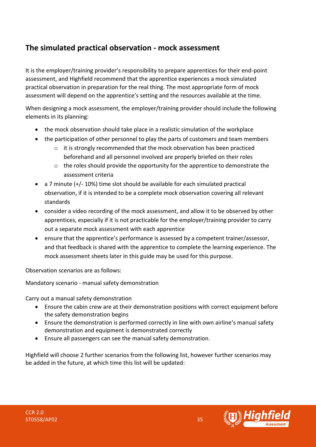### **The simulated practical observation - mock assessment**

It is the employer/training provider's responsibility to prepare apprentices for their end-point assessment, and Highfield recommend that the apprentice experiences a mock simulated practical observation in preparation for the real thing. The most appropriate form of mock assessment will depend on the apprentice's setting and the resources available at the time.

When designing a mock assessment, the employer/training provider should include the following elements in its planning:

- the mock observation should take place in a realistic simulation of the workplace
- the participation of other personnel to play the parts of customers and team members
	- o it is strongly recommended that the mock observation has been practiced beforehand and all personnel involved are properly briefed on their roles
	- o the roles should provide the opportunity for the apprentice to demonstrate the assessment criteria
- a 7 minute (+/- 10%) time slot should be available for each simulated practical observation, if it is intended to be a complete mock observation covering all relevant standards
- consider a video recording of the mock assessment, and allow it to be observed by other apprentices, especially if it is not practicable for the employer/training provider to carry out a separate mock assessment with each apprentice
- ensure that the apprentice's performance is assessed by a competent trainer/assessor, and that feedback is shared with the apprentice to complete the learning experience. The mock assessment sheets later in this guide may be used for this purpose.

Observation scenarios are as follows:

Mandatory scenario - manual safety demonstration

Carry out a manual safety demonstration

- Ensure the cabin crew are at their demonstration positions with correct equipment before the safety demonstration begins
- Ensure the demonstration is performed correctly in line with own airline's manual safety demonstration and equipment is demonstrated correctly
- Ensure all passengers can see the manual safety demonstration.

Highfield will choose 2 further scenarios from the following list, however further scenarios may be added in the future, at which time this list will be updated:

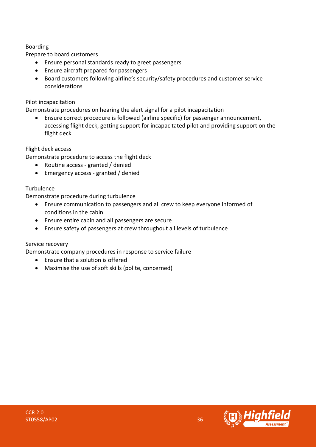### Boarding

Prepare to board customers

- Ensure personal standards ready to greet passengers
- Ensure aircraft prepared for passengers
- Board customers following airline's security/safety procedures and customer service considerations

### Pilot incapacitation

Demonstrate procedures on hearing the alert signal for a pilot incapacitation

• Ensure correct procedure is followed (airline specific) for passenger announcement, accessing flight deck, getting support for incapacitated pilot and providing support on the flight deck

### Flight deck access

Demonstrate procedure to access the flight deck

- Routine access granted / denied
- Emergency access granted / denied

### **Turbulence**

Demonstrate procedure during turbulence

- Ensure communication to passengers and all crew to keep everyone informed of conditions in the cabin
- Ensure entire cabin and all passengers are secure
- Ensure safety of passengers at crew throughout all levels of turbulence

### Service recovery

Demonstrate company procedures in response to service failure

- Ensure that a solution is offered
- Maximise the use of soft skills (polite, concerned)

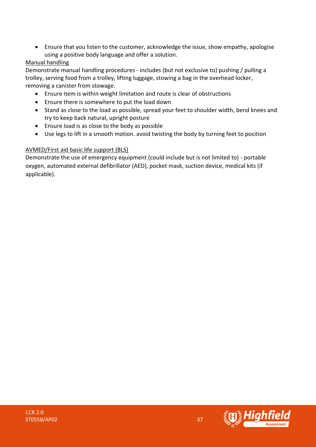• Ensure that you listen to the customer, acknowledge the issue, show empathy, apologise using a positive body language and offer a solution.

### Manual handling

Demonstrate manual handling procedures - includes (but not exclusive to) pushing / pulling a trolley, serving food from a trolley, lifting luggage, stowing a bag in the overhead locker, removing a canister from stowage.

- Ensure item is within weight limitation and route is clear of obstructions
- Ensure there is somewhere to put the load down
- Stand as close to the load as possible, spread your feet to shoulder width, bend knees and try to keep back natural, upright posture
- Ensure load is as close to the body as possible
- Use legs to lift in a smooth motion. avoid twisting the body by turning feet to position

### AVMED/First aid basic life support (BLS)

Demonstrate the use of emergency equipment (could include but is not limited to) - portable oxygen, automated external defibrillator (AED), pocket mask, suction device, medical kits (if applicable).

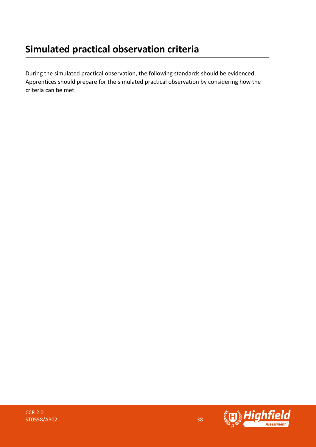During the simulated practical observation, the following standards should be evidenced. Apprentices should prepare for the simulated practical observation by considering how the criteria can be met.

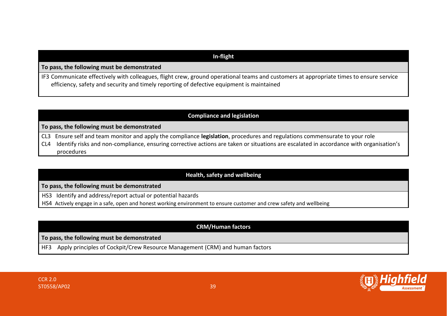### **In-flight**

**To pass, the following must be demonstrated**

IF3 Communicate effectively with colleagues, flight crew, ground operational teams and customers at appropriate times to ensure service efficiency, safety and security and timely reporting of defective equipment is maintained

### **Compliance and legislation**

**To pass, the following must be demonstrated**

CL3 Ensure self and team monitor and apply the compliance **legislation**, procedures and regulations commensurate to your role

CL4 Identify risks and non-compliance, ensuring corrective actions are taken or situations are escalated in accordance with organisation's procedures

### **Health, safety and wellbeing**

**To pass, the following must be demonstrated**

HS3 Identify and address/report actual or potential hazards

HS4 Actively engage in a safe, open and honest working environment to ensure customer and crew safety and wellbeing

### **CRM/Human factors**

#### **To pass, the following must be demonstrated**

HF3 Apply principles of Cockpit/Crew Resource Management (CRM) and human factors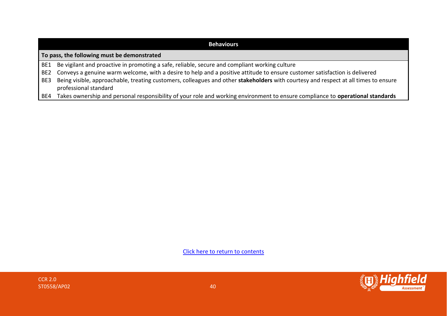| <b>Behaviours</b>                           |                                                                                                                                     |  |  |
|---------------------------------------------|-------------------------------------------------------------------------------------------------------------------------------------|--|--|
| To pass, the following must be demonstrated |                                                                                                                                     |  |  |
|                                             | BE1 Be vigilant and proactive in promoting a safe, reliable, secure and compliant working culture                                   |  |  |
| BE2                                         | Conveys a genuine warm welcome, with a desire to help and a positive attitude to ensure customer satisfaction is delivered          |  |  |
| BE3                                         | Being visible, approachable, treating customers, colleagues and other stakeholders with courtesy and respect at all times to ensure |  |  |
|                                             | professional standard                                                                                                               |  |  |
| BE4                                         | Takes ownership and personal responsibility of your role and working environment to ensure compliance to operational standards      |  |  |

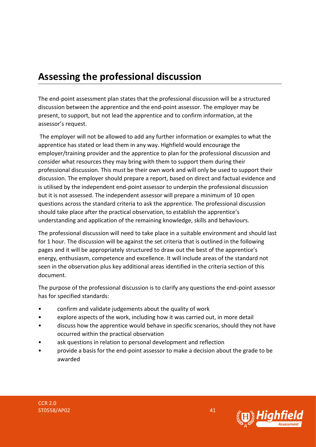### <span id="page-40-0"></span>**Assessing the professional discussion**

The end-point assessment plan states that the professional discussion will be a structured discussion between the apprentice and the end-point assessor. The employer may be present, to support, but not lead the apprentice and to confirm information, at the assessor's request.

The employer will not be allowed to add any further information or examples to what the apprentice has stated or lead them in any way. Highfield would encourage the employer/training provider and the apprentice to plan for the professional discussion and consider what resources they may bring with them to support them during their professional discussion. This must be their own work and will only be used to support their discussion. The employer should prepare a report, based on direct and factual evidence and is utilised by the independent end-point assessor to underpin the professional discussion but it is not assessed. The independent assessor will prepare a minimum of 10 open questions across the standard criteria to ask the apprentice. The professional discussion should take place after the practical observation, to establish the apprentice's understanding and application of the remaining knowledge, skills and behaviours.

The professional discussion will need to take place in a suitable environment and should last for 1 hour. The discussion will be against the set criteria that is outlined in the following pages and it will be appropriately structured to draw out the best of the apprentice's energy, enthusiasm, competence and excellence. It will include areas of the standard not seen in the observation plus key additional areas identified in the criteria section of this document.

The purpose of the professional discussion is to clarify any questions the end-point assessor has for specified standards:

- confirm and validate judgements about the quality of work
- explore aspects of the work, including how it was carried out, in more detail
- discuss how the apprentice would behave in specific scenarios, should they not have occurred within the practical observation
- ask questions in relation to personal development and reflection
- provide a basis for the end-point assessor to make a decision about the grade to be awarded

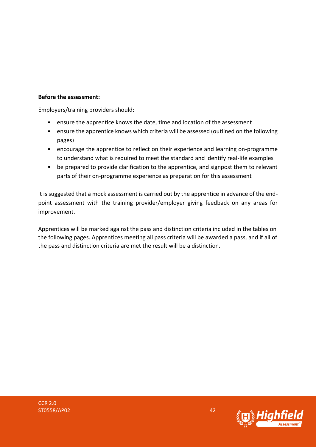#### **Before the assessment:**

Employers/training providers should:

- ensure the apprentice knows the date, time and location of the assessment
- ensure the apprentice knows which criteria will be assessed (outlined on the following pages)
- encourage the apprentice to reflect on their experience and learning on-programme to understand what is required to meet the standard and identify real-life examples
- be prepared to provide clarification to the apprentice, and signpost them to relevant parts of their on-programme experience as preparation for this assessment

It is suggested that a mock assessment is carried out by the apprentice in advance of the endpoint assessment with the training provider/employer giving feedback on any areas for improvement.

Apprentices will be marked against the pass and distinction criteria included in the tables on the following pages. Apprentices meeting all pass criteria will be awarded a pass, and if all of the pass and distinction criteria are met the result will be a distinction.

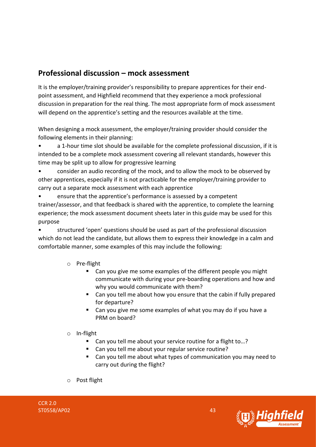### **Professional discussion – mock assessment**

It is the employer/training provider's responsibility to prepare apprentices for their endpoint assessment, and Highfield recommend that they experience a mock professional discussion in preparation for the real thing. The most appropriate form of mock assessment will depend on the apprentice's setting and the resources available at the time.

When designing a mock assessment, the employer/training provider should consider the following elements in their planning:

• a 1-hour time slot should be available for the complete professional discussion, if it is intended to be a complete mock assessment covering all relevant standards, however this time may be split up to allow for progressive learning

• consider an audio recording of the mock, and to allow the mock to be observed by other apprentices, especially if it is not practicable for the employer/training provider to carry out a separate mock assessment with each apprentice

• ensure that the apprentice's performance is assessed by a competent trainer/assessor, and that feedback is shared with the apprentice, to complete the learning experience; the mock assessment document sheets later in this guide may be used for this purpose

• structured 'open' questions should be used as part of the professional discussion which do not lead the candidate, but allows them to express their knowledge in a calm and comfortable manner, some examples of this may include the following:

- o Pre-flight
	- Can you give me some examples of the different people you might communicate with during your pre-boarding operations and how and why you would communicate with them?
	- Can you tell me about how you ensure that the cabin if fully prepared for departure?
	- Can you give me some examples of what you may do if you have a PRM on board?
- o In-flight
	- Can you tell me about your service routine for a flight to...?
	- Can you tell me about your regular service routine?
	- Can you tell me about what types of communication you may need to carry out during the flight?
- o Post flight



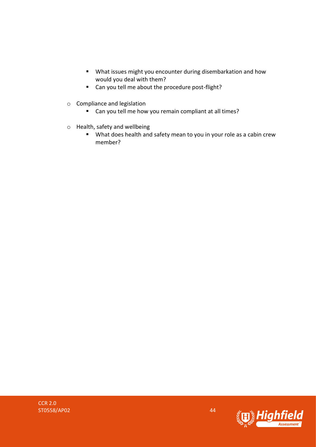- What issues might you encounter during disembarkation and how would you deal with them?
- Can you tell me about the procedure post-flight?
- o Compliance and legislation
	- Can you tell me how you remain compliant at all times?
- o Health, safety and wellbeing
	- What does health and safety mean to you in your role as a cabin crew member?

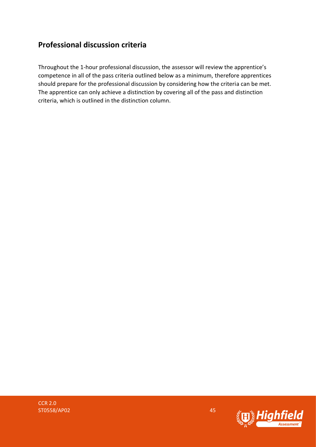### **Professional discussion criteria**

Throughout the 1-hour professional discussion, the assessor will review the apprentice's competence in all of the pass criteria outlined below as a minimum, therefore apprentices should prepare for the professional discussion by considering how the criteria can be met. The apprentice can only achieve a distinction by covering all of the pass and distinction criteria, which is outlined in the distinction column.

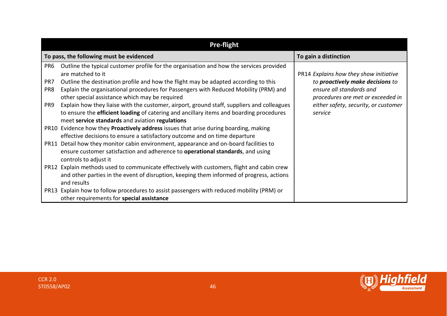|                               | <b>Pre-flight</b>                                                                                                                                                                                                                                                                           |                                                                                                        |  |  |  |  |
|-------------------------------|---------------------------------------------------------------------------------------------------------------------------------------------------------------------------------------------------------------------------------------------------------------------------------------------|--------------------------------------------------------------------------------------------------------|--|--|--|--|
|                               | To pass, the following must be evidenced                                                                                                                                                                                                                                                    | To gain a distinction                                                                                  |  |  |  |  |
| PR <sub>6</sub><br>PR7<br>PR8 | Outline the typical customer profile for the organisation and how the services provided<br>are matched to it<br>Outline the destination profile and how the flight may be adapted according to this<br>Explain the organisational procedures for Passengers with Reduced Mobility (PRM) and | PR14 Explains how they show initiative<br>to proactively make decisions to<br>ensure all standards and |  |  |  |  |
| PR9                           | other special assistance which may be required<br>Explain how they liaise with the customer, airport, ground staff, suppliers and colleagues<br>to ensure the efficient loading of catering and ancillary items and boarding procedures<br>meet service standards and aviation regulations  | procedures are met or exceeded in<br>either safety, security, or customer<br>service                   |  |  |  |  |
|                               | PR10 Evidence how they Proactively address issues that arise during boarding, making<br>effective decisions to ensure a satisfactory outcome and on time departure                                                                                                                          |                                                                                                        |  |  |  |  |
|                               | PR11 Detail how they monitor cabin environment, appearance and on-board facilities to<br>ensure customer satisfaction and adherence to <b>operational standards</b> , and using<br>controls to adjust it                                                                                    |                                                                                                        |  |  |  |  |
|                               | PR12 Explain methods used to communicate effectively with customers, flight and cabin crew<br>and other parties in the event of disruption, keeping them informed of progress, actions<br>and results                                                                                       |                                                                                                        |  |  |  |  |
|                               | PR13 Explain how to follow procedures to assist passengers with reduced mobility (PRM) or<br>other requirements for special assistance                                                                                                                                                      |                                                                                                        |  |  |  |  |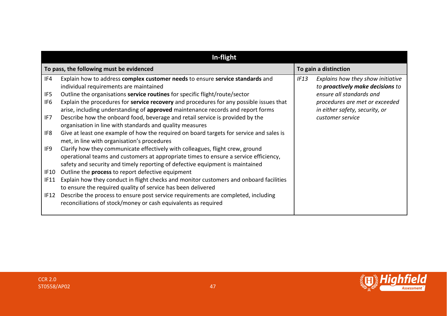|                               | In-flight                                                                                                                                                                                                                                                                                         |      |                                                                                                                                     |  |  |
|-------------------------------|---------------------------------------------------------------------------------------------------------------------------------------------------------------------------------------------------------------------------------------------------------------------------------------------------|------|-------------------------------------------------------------------------------------------------------------------------------------|--|--|
|                               | To pass, the following must be evidenced                                                                                                                                                                                                                                                          |      | To gain a distinction                                                                                                               |  |  |
| IF4<br>IF5<br>IF <sub>6</sub> | Explain how to address complex customer needs to ensure service standards and<br>individual requirements are maintained<br>Outline the organisations service routines for specific flight/route/sector<br>Explain the procedures for service recovery and procedures for any possible issues that | IF13 | Explains how they show initiative<br>to proactively make decisions to<br>ensure all standards and<br>procedures are met or exceeded |  |  |
| IF7                           | arise, including understanding of approved maintenance records and report forms<br>Describe how the onboard food, beverage and retail service is provided by the<br>organisation in line with standards and quality measures                                                                      |      | in either safety, security, or<br>customer service                                                                                  |  |  |
| IF8                           | Give at least one example of how the required on board targets for service and sales is<br>met, in line with organisation's procedures                                                                                                                                                            |      |                                                                                                                                     |  |  |
| IF9                           | Clarify how they communicate effectively with colleagues, flight crew, ground<br>operational teams and customers at appropriate times to ensure a service efficiency,<br>safety and security and timely reporting of defective equipment is maintained                                            |      |                                                                                                                                     |  |  |
| <b>IF10</b>                   | Outline the process to report defective equipment                                                                                                                                                                                                                                                 |      |                                                                                                                                     |  |  |
| <b>IF11</b>                   | Explain how they conduct in flight checks and monitor customers and onboard facilities<br>to ensure the required quality of service has been delivered                                                                                                                                            |      |                                                                                                                                     |  |  |
| IF12                          | Describe the process to ensure post service requirements are completed, including<br>reconciliations of stock/money or cash equivalents as required                                                                                                                                               |      |                                                                                                                                     |  |  |

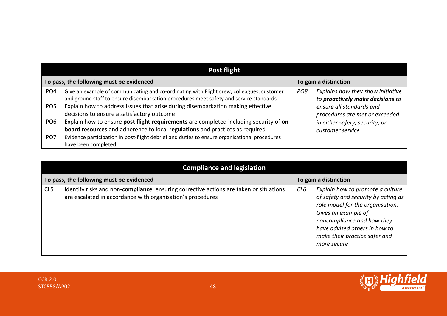| Post flight     |                                                                                                                                                                                     |                       |                                                                       |  |
|-----------------|-------------------------------------------------------------------------------------------------------------------------------------------------------------------------------------|-----------------------|-----------------------------------------------------------------------|--|
|                 | To pass, the following must be evidenced                                                                                                                                            | To gain a distinction |                                                                       |  |
| PO <sub>4</sub> | Give an example of communicating and co-ordinating with Flight crew, colleagues, customer<br>and ground staff to ensure disembarkation procedures meet safety and service standards | PO <sub>8</sub>       | Explains how they show initiative<br>to proactively make decisions to |  |
| PO <sub>5</sub> | Explain how to address issues that arise during disembarkation making effective<br>decisions to ensure a satisfactory outcome                                                       |                       | ensure all standards and<br>procedures are met or exceeded            |  |
| PO <sub>6</sub> | Explain how to ensure post flight requirements are completed including security of on-<br>board resources and adherence to local regulations and practices as required              |                       | in either safety, security, or<br>customer service                    |  |
| PO <sub>7</sub> | Evidence participation in post-flight debrief and duties to ensure organisational procedures<br>have been completed                                                                 |                       |                                                                       |  |

|                                          | <b>Compliance and legislation</b>                                                                                                                    |                       |                                                                                                                                                                                                                                                   |  |
|------------------------------------------|------------------------------------------------------------------------------------------------------------------------------------------------------|-----------------------|---------------------------------------------------------------------------------------------------------------------------------------------------------------------------------------------------------------------------------------------------|--|
| To pass, the following must be evidenced |                                                                                                                                                      | To gain a distinction |                                                                                                                                                                                                                                                   |  |
| CL5                                      | Identify risks and non-compliance, ensuring corrective actions are taken or situations<br>are escalated in accordance with organisation's procedures | CL6                   | Explain how to promote a culture<br>of safety and security by acting as<br>role model for the organisation.<br>Gives an example of<br>noncompliance and how they<br>have advised others in how to<br>make their practice safer and<br>more secure |  |

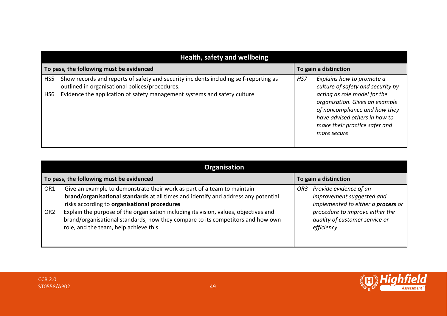|                                          | Health, safety and wellbeing                                                                                                            |     |                                                                                                                                                                                  |  |
|------------------------------------------|-----------------------------------------------------------------------------------------------------------------------------------------|-----|----------------------------------------------------------------------------------------------------------------------------------------------------------------------------------|--|
| To pass, the following must be evidenced |                                                                                                                                         |     | To gain a distinction                                                                                                                                                            |  |
| HS5                                      | Show records and reports of safety and security incidents including self-reporting as<br>outlined in organisational polices/procedures. | HS7 | Explains how to promote a<br>culture of safety and security by                                                                                                                   |  |
| HS6                                      | Evidence the application of safety management systems and safety culture                                                                |     | acting as role model for the<br>organisation. Gives an example<br>of noncompliance and how they<br>have advised others in how to<br>make their practice safer and<br>more secure |  |

| <b>Organisation</b>                |                                                                                                                                                                                                                                                                                                                                                                                                                                   |                                                                                                                                                                                            |  |  |  |  |  |
|------------------------------------|-----------------------------------------------------------------------------------------------------------------------------------------------------------------------------------------------------------------------------------------------------------------------------------------------------------------------------------------------------------------------------------------------------------------------------------|--------------------------------------------------------------------------------------------------------------------------------------------------------------------------------------------|--|--|--|--|--|
|                                    | To pass, the following must be evidenced                                                                                                                                                                                                                                                                                                                                                                                          | To gain a distinction                                                                                                                                                                      |  |  |  |  |  |
| OR <sub>1</sub><br>OR <sub>2</sub> | Give an example to demonstrate their work as part of a team to maintain<br>brand/organisational standards at all times and identify and address any potential<br>risks according to organisational procedures<br>Explain the purpose of the organisation including its vision, values, objectives and<br>brand/organisational standards, how they compare to its competitors and how own<br>role, and the team, help achieve this | Provide evidence of an<br>OR3<br>improvement suggested and<br>implemented to either a <b>process</b> or<br>procedure to improve either the<br>quality of customer service or<br>efficiency |  |  |  |  |  |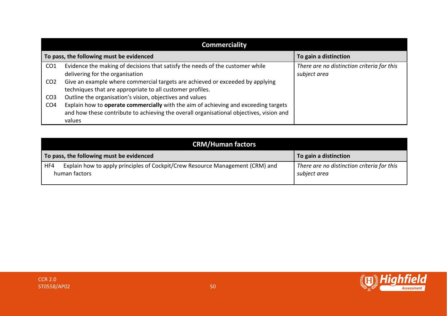|                                          | <b>Commerciality</b>                                                                                                                                                                     |                                                            |  |  |  |  |  |  |
|------------------------------------------|------------------------------------------------------------------------------------------------------------------------------------------------------------------------------------------|------------------------------------------------------------|--|--|--|--|--|--|
| To pass, the following must be evidenced |                                                                                                                                                                                          | To gain a distinction                                      |  |  |  |  |  |  |
| CO <sub>1</sub>                          | Evidence the making of decisions that satisfy the needs of the customer while<br>delivering for the organisation                                                                         | There are no distinction criteria for this<br>subject area |  |  |  |  |  |  |
| CO <sub>2</sub>                          | Give an example where commercial targets are achieved or exceeded by applying<br>techniques that are appropriate to all customer profiles.                                               |                                                            |  |  |  |  |  |  |
| CO <sub>3</sub>                          | Outline the organisation's vision, objectives and values                                                                                                                                 |                                                            |  |  |  |  |  |  |
| CO <sub>4</sub>                          | Explain how to operate commercially with the aim of achieving and exceeding targets<br>and how these contribute to achieving the overall organisational objectives, vision and<br>values |                                                            |  |  |  |  |  |  |

| <b>CRM/Human factors</b>                                                                              |                                                            |  |  |  |  |  |
|-------------------------------------------------------------------------------------------------------|------------------------------------------------------------|--|--|--|--|--|
| To pass, the following must be evidenced                                                              | To gain a distinction                                      |  |  |  |  |  |
| Explain how to apply principles of Cockpit/Crew Resource Management (CRM) and<br>HF4<br>human factors | There are no distinction criteria for this<br>subject area |  |  |  |  |  |